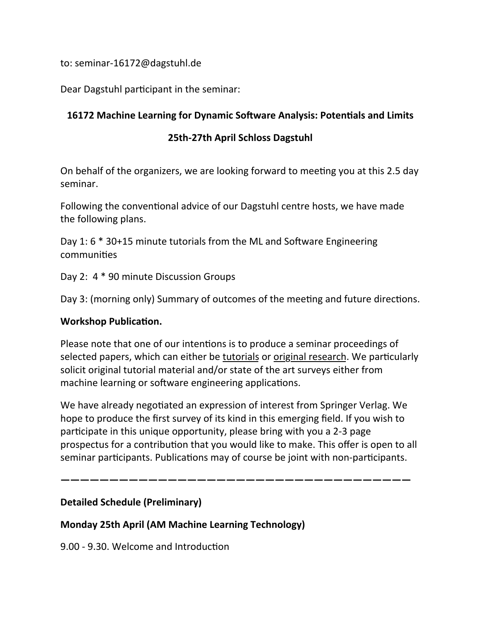to: seminar-16172@dagstuhl.de

Dear Dagstuhl participant in the seminar:

### **16172 Machine Learning for Dynamic Software Analysis: Potentials and Limits**

### **25th-27th April Schloss Dagstuhl**

On behalf of the organizers, we are looking forward to meeting you at this 2.5 day seminar. 

Following the conventional advice of our Dagstuhl centre hosts, we have made the following plans.

Day 1:  $6 * 30+15$  minute tutorials from the ML and Software Engineering communities

Day 2:  $4 * 90$  minute Discussion Groups

Day 3: (morning only) Summary of outcomes of the meeting and future directions.

#### **Workshop Publication.**

Please note that one of our intentions is to produce a seminar proceedings of selected papers, which can either be tutorials or original research. We particularly solicit original tutorial material and/or state of the art surveys either from machine learning or software engineering applications.

We have already negotiated an expression of interest from Springer Verlag. We hope to produce the first survey of its kind in this emerging field. If you wish to participate in this unique opportunity, please bring with you a 2-3 page prospectus for a contribution that you would like to make. This offer is open to all seminar participants. Publications may of course be joint with non-participants.

**————————————————————————————————————**

### **Detailed Schedule (Preliminary)**

### **Monday 25th April (AM Machine Learning Technology)**

9.00 - 9.30. Welcome and Introduction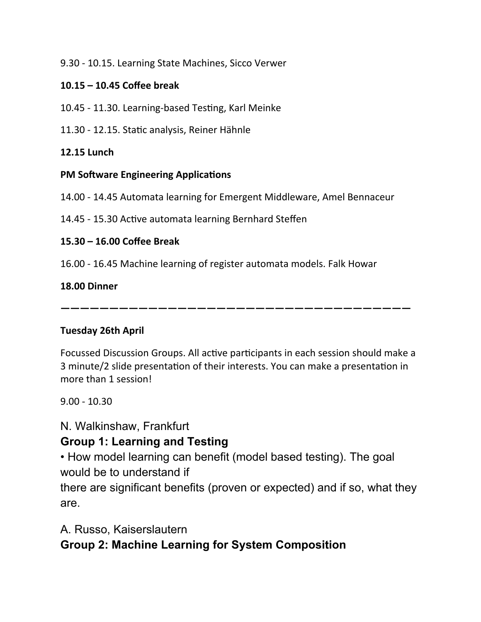### 9.30 - 10.15. Learning State Machines, Sicco Verwer

### **10.15 – 10.45 Coffee break**

- 10.45 11.30. Learning-based Testing, Karl Meinke
- 11.30 12.15. Static analysis, Reiner Hähnle

### **12.15 Lunch**

### **PM Software Engineering Applications**

14.00 - 14.45 Automata learning for Emergent Middleware, Amel Bennaceur

14.45 - 15.30 Active automata learning Bernhard Steffen

### **15.30 – 16.00 Coffee Break**

16.00 - 16.45 Machine learning of register automata models. Falk Howar

### **18.00 Dinner**

**————————————————————————————————————**

### **Tuesday 26th April**

Focussed Discussion Groups. All active participants in each session should make a 3 minute/2 slide presentation of their interests. You can make a presentation in more than 1 session!

 $9.00 - 10.30$ 

# N. Walkinshaw, Frankfurt

# **Group 1: Learning and Testing**

• How model learning can benefit (model based testing). The goal would be to understand if

there are significant benefits (proven or expected) and if so, what they are.

# A. Russo, Kaiserslautern

# **Group 2: Machine Learning for System Composition**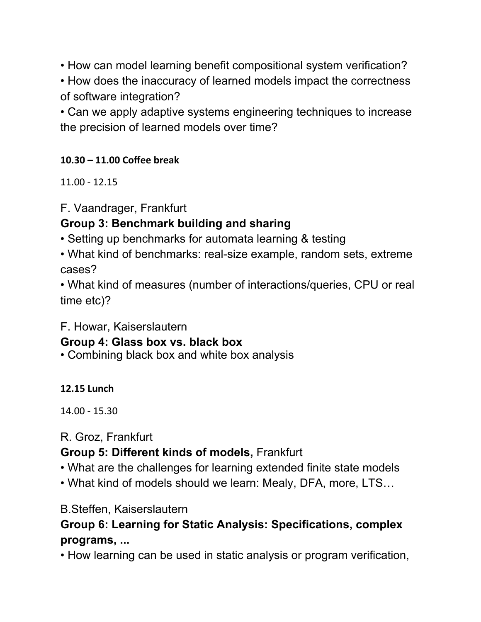• How can model learning benefit compositional system verification?

• How does the inaccuracy of learned models impact the correctness of software integration?

• Can we apply adaptive systems engineering techniques to increase the precision of learned models over time?

## **10.30 – 11.00 Coffee break**

 $11.00 - 12.15$ 

F. Vaandrager, Frankfurt

# **Group 3: Benchmark building and sharing**

• Setting up benchmarks for automata learning & testing

• What kind of benchmarks: real-size example, random sets, extreme cases?

• What kind of measures (number of interactions/queries, CPU or real time etc)?

F. Howar, Kaiserslautern

# **Group 4: Glass box vs. black box**

• Combining black box and white box analysis

**12.15 Lunch**

14.00 - 15.30 

# R. Groz, Frankfurt

# **Group 5: Different kinds of models,** Frankfurt

- What are the challenges for learning extended finite state models
- What kind of models should we learn: Mealy, DFA, more, LTS…

# B.Steffen, Kaiserslautern

# **Group 6: Learning for Static Analysis: Specifications, complex programs, ...**

• How learning can be used in static analysis or program verification,